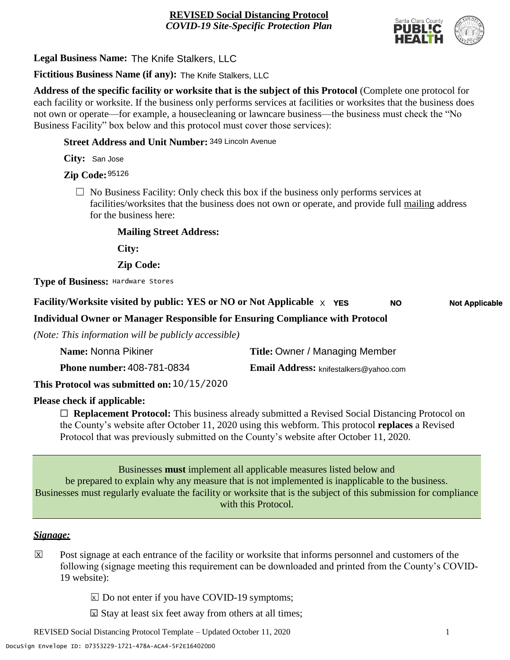

**Legal Business Name:** The Knife Stalkers, LLC

**Fictitious Business Name (if any):** The Knife Stalkers, LLC

**Address of the specific facility or worksite that is the subject of this Protocol** (Complete one protocol for each facility or worksite. If the business only performs services at facilities or worksites that the business does not own or operate—for example, a housecleaning or lawncare business—the business must check the "No Business Facility" box below and this protocol must cover those services):

**Street Address and Unit Number:** 349 Lincoln Avenue

**City:** San Jose

**Zip Code:** 95126

 $\Box$  No Business Facility: Only check this box if the business only performs services at facilities/worksites that the business does not own or operate, and provide full mailing address for the business here:

**Mailing Street Address:**

**City:**

**Zip Code:**

**Type of Business:** Hardware Stores

#### **Facility/Worksite visited by public: YES or NO or Not Applicable**  $\times$  **YES NO Not Applicable**

**Individual Owner or Manager Responsible for Ensuring Compliance with Protocol**

*(Note: This information will be publicly accessible)*

| Name: Nonna Pikiner                        | <b>Title: Owner / Managing Member</b>         |
|--------------------------------------------|-----------------------------------------------|
| <b>Phone number: 408-781-0834</b>          | <b>Email Address:</b> knifestalkers@yahoo.com |
| This Protocol was submitted on: 10/15/2020 |                                               |

**Please check if applicable:**

☐ **Replacement Protocol:** This business already submitted a Revised Social Distancing Protocol on the County's website after October 11, 2020 using this webform. This protocol **replaces** a Revised Protocol that was previously submitted on the County's website after October 11, 2020.

Businesses **must** implement all applicable measures listed below and be prepared to explain why any measure that is not implemented is inapplicable to the business. Businesses must regularly evaluate the facility or worksite that is the subject of this submission for compliance with this Protocol.

#### *Signage:*

- Post signage at each entrance of the facility or worksite that informs personnel and customers of the following (signage meeting this requirement can be downloaded and printed from the County's COVID-19 website):  $|\mathsf{X}|$ 
	- $\boxed{\times}$  Do not enter if you have COVID-19 symptoms;
	- $\boxtimes$  Stay at least six feet away from others at all times;

REVISED Social Distancing Protocol Template – Updated October 11, 2020 1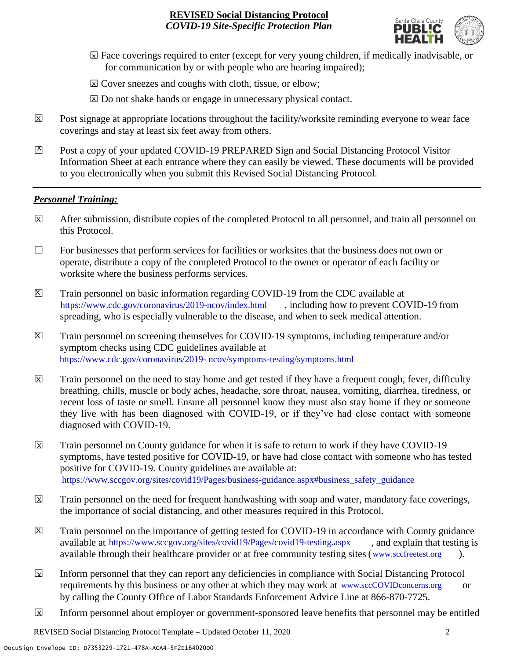

- ☐ Face coverings required to enter (except for very young children, if medically inadvisable, or X for communication by or with people who are hearing impaired);
- ⊠ Cover sneezes and coughs with cloth, tissue, or elbow;
- ⊠ Do not shake hands or engage in unnecessary physical contact.
- Post signage at appropriate locations throughout the facility/worksite reminding everyone to wear face coverings and stay at least six feet away from others. X
- Post a copy of your updated COVID-19 PREPARED Sign and Social Distancing Protocol Visitor Information Sheet at each entrance where they can easily be viewed. These documents will be provided to you electronically when you submit this Revised Social Distancing Protocol.  $\mathbb{Z}$

#### *Personnel Training:*

- After submission, distribute copies of the completed Protocol to all personnel, and train all personnel on this Protocol.  $\mathbf x$
- $\Box$  For businesses that perform services for facilities or worksites that the business does not own or operate, distribute a copy of the completed Protocol to the owner or operator of each facility or worksite where the business performs services.
- Train personnel on basic information regarding COVID-19 from the CDC available at [https://www.cdc.gov/coronavirus/2019-ncov/index.html,](https://www.cdc.gov/coronavirus/2019-ncov/index.html) including how to prevent COVID-19 from spreading, who is especially vulnerable to the disease, and when to seek medical attention.  $\mathsf{X}$
- Train personnel on screening themselves for COVID-19 symptoms, including temperature and/or symptom checks using CDC guidelines available at [https://www.cdc.gov/coronavirus/2019-](https://www.cdc.gov/coronavirus/2019-ncov/symptoms-testing/symptoms.html) [ncov/symptoms-testing/symptoms.html.](https://www.cdc.gov/coronavirus/2019-ncov/symptoms-testing/symptoms.html) https://www.cdc.gov/coronavirus/2019- ncov/symptoms-testing/symptoms.html  $|\mathsf{X}|$
- Train personnel on the need to stay home and get tested if they have a frequent cough, fever, difficulty breathing, chills, muscle or body aches, headache, sore throat, nausea, vomiting, diarrhea, tiredness, or recent loss of taste or smell. Ensure all personnel know they must also stay home if they or someone they live with has been diagnosed with COVID-19, or if they've had close contact with someone diagnosed with COVID-19.  $\mathbf x$
- Train personnel on County guidance for when it is safe to return to work if they have COVID-19 symptoms, have tested positive for COVID-19, or have had close contact with someone who has tested positive for COVID-19. County guidelines are available at: [https://www.sccgov.org/sites/covid19/Pages/business-guidance.aspx#business\\_safety\\_guidance.](https://www.sccgov.org/sites/covid19/Pages/business-guidance.aspx#business_safety_guidance.) https://www.sccgov.org/sites/covid19/Pages/business-guidance.aspx#business\_safety\_guidance  $\overline{\mathbf{x}}$
- Train personnel on the need for frequent handwashing with soap and water, mandatory face coverings, the importance of social distancing, and other measures required in this Protocol.  $\overline{\mathsf{x}}$
- Train personnel on the importance of getting tested for COVID-19 in accordance with County guidance available at [https://www.sccgov.org/sites/covid19/Pages/covid19-testing.aspx,](https://www.sccgov.org/sites/covid19/Pages/covid19-testing.aspx) and explain that testing is available through their healthcare provider or at free community testing sites [\(www.sccfreetest.org](http://www.sccfreetest.org/) ).  $\vert X \vert$
- Inform personnel that they can report any deficiencies in compliance with Social Distancing Protocol requirements by this business or any other at which they may work at [www.sccCOVIDconcerns.org](http://www.scccovidconcerns.org/) or by calling the County Office of Labor Standards Enforcement Advice Line at 866-870-7725.  $\overline{\mathbf{x}}$
- Inform personnel about employer or government-sponsored leave benefits that personnel may be entitled  $\boxtimes$

REVISED Social Distancing Protocol Template – Updated October 11, 2020 2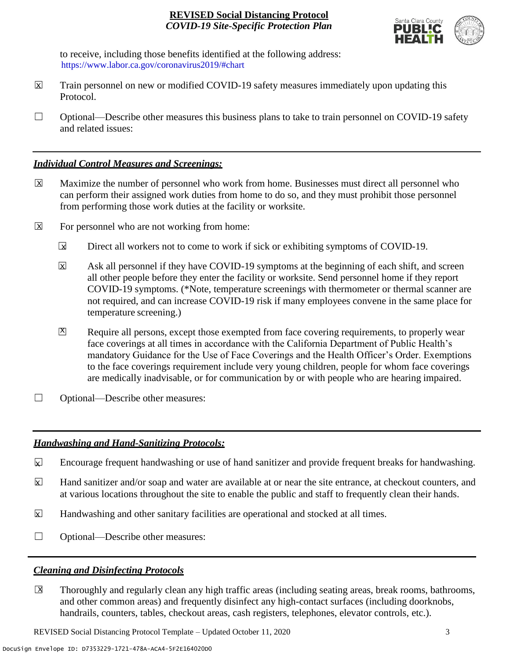

to receive, including those benefits identified at the following address: [https://www.labor.ca.gov/coronavirus2019/#chart.](https://www.labor.ca.gov/coronavirus2019/#chart) https://www.labor.ca.gov/coronavirus2019/#chart

- Train personnel on new or modified COVID-19 safety measures immediately upon updating this Protocol.  $\boxtimes$
- $\Box$  Optional—Describe other measures this business plans to take to train personnel on COVID-19 safety and related issues:

## *Individual Control Measures and Screenings:*

- Maximize the number of personnel who work from home. Businesses must direct all personnel who can perform their assigned work duties from home to do so, and they must prohibit those personnel from performing those work duties at the facility or worksite.  $|\overline{X}|$
- For personnel who are not working from home:  $\boxtimes$ 
	- Direct all workers not to come to work if sick or exhibiting symptoms of COVID-19.  $\overline{\mathbf{x}}$
	- Ask all personnel if they have COVID-19 symptoms at the beginning of each shift, and screen all other people before they enter the facility or worksite. Send personnel home if they report COVID-19 symptoms. (\*Note, temperature screenings with thermometer or thermal scanner are not required, and can increase COVID-19 risk if many employees convene in the same place for temperature screening.) X
	- Require all persons, except those exempted from face covering requirements, to properly wear face coverings at all times in accordance with the California Department of Public Health's mandatory Guidance for the Use of Face Coverings and the Health Officer's Order. Exemptions to the face coverings requirement include very young children, people for whom face coverings are medically inadvisable, or for communication by or with people who are hearing impaired.  $\mathbf{X}$
- □ Optional—Describe other measures:

# *Handwashing and Hand-Sanitizing Protocols:*

- Encourage frequent handwashing or use of hand sanitizer and provide frequent breaks for handwashing.  $\mathbf{x}$
- Hand sanitizer and/or soap and water are available at or near the site entrance, at checkout counters, and at various locations throughout the site to enable the public and staff to frequently clean their hands.  $\overline{\mathbf{x}}$
- Handwashing and other sanitary facilities are operational and stocked at all times.  $\mathbf{x}$
- ☐ Optional—Describe other measures:

# *Cleaning and Disinfecting Protocols*

☐ Thoroughly and regularly clean any high traffic areas (including seating areas, break rooms, bathrooms, and other common areas) and frequently disinfect any high-contact surfaces (including doorknobs, handrails, counters, tables, checkout areas, cash registers, telephones, elevator controls, etc.).  $\overline{\mathsf{x}}$ 

REVISED Social Distancing Protocol Template – Updated October 11, 2020 3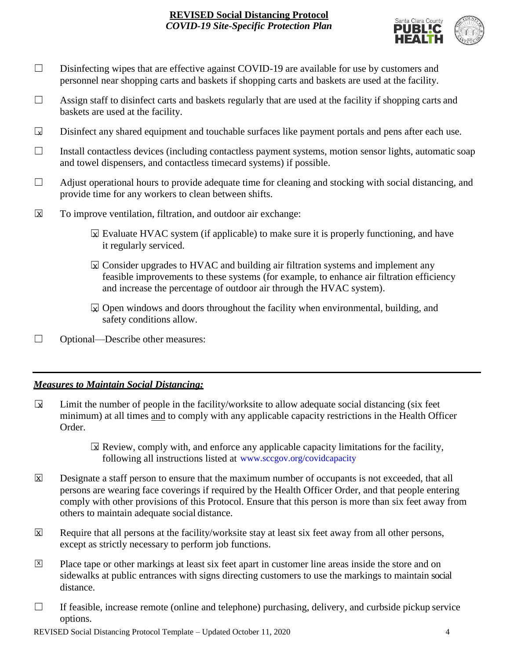

- □ Disinfecting wipes that are effective against COVID-19 are available for use by customers and personnel near shopping carts and baskets if shopping carts and baskets are used at the facility.
- $\Box$  Assign staff to disinfect carts and baskets regularly that are used at the facility if shopping carts and baskets are used at the facility.
- Disinfect any shared equipment and touchable surfaces like payment portals and pens after each use.  $\Box$
- ☐ Install contactless devices (including contactless payment systems, motion sensor lights, automatic soap and towel dispensers, and contactless timecard systems) if possible.
- $\Box$  Adjust operational hours to provide adequate time for cleaning and stocking with social distancing, and provide time for any workers to clean between shifts.
- To improve ventilation, filtration, and outdoor air exchange:  $\overline{\mathsf{x}}$ 
	- $\boxtimes$  Evaluate HVAC system (if applicable) to make sure it is properly functioning, and have it regularly serviced.
	- $\boxtimes$  Consider upgrades to HVAC and building air filtration systems and implement any feasible improvements to these systems (for example, to enhance air filtration efficiency and increase the percentage of outdoor air through the HVAC system).
	- $\boxdot$  Open windows and doors throughout the facility when environmental, building, and safety conditions allow.
- ☐ Optional—Describe other measures:

# *Measures to Maintain Social Distancing:*

- Limit the number of people in the facility/worksite to allow adequate social distancing (six feet minimum) at all times and to comply with any applicable capacity restrictions in the Health Officer Order.  $\mathbf{r}$ 
	- $\boxtimes$  Review, comply with, and enforce any applicable capacity limitations for the facility, following all instructions listed at www.sccgov.org/covidcapacity
- Designate a staff person to ensure that the maximum number of occupants is not exceeded, that all persons are wearing face coverings if required by the Health Officer Order, and that people entering comply with other provisions of this Protocol. Ensure that this person is more than six feet away from others to maintain adequate social distance.  $\overline{\mathsf{x}}$
- Require that all persons at the facility/worksite stay at least six feet away from all other persons, except as strictly necessary to perform job functions. X
- Place tape or other markings at least six feet apart in customer line areas inside the store and on sidewalks at public entrances with signs directing customers to use the markings to maintain social distance. X
- $\Box$  If feasible, increase remote (online and telephone) purchasing, delivery, and curbside pickup service options.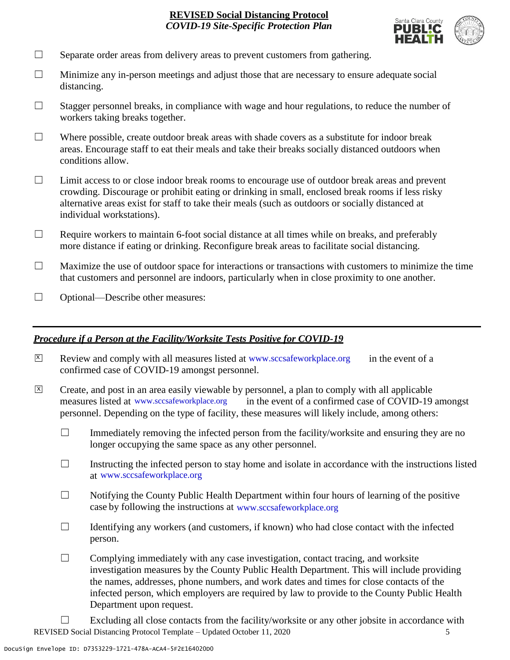

- $\Box$  Separate order areas from delivery areas to prevent customers from gathering.
- $\Box$  Minimize any in-person meetings and adjust those that are necessary to ensure adequate social distancing.
- $\Box$  Stagger personnel breaks, in compliance with wage and hour regulations, to reduce the number of workers taking breaks together.
- $\Box$  Where possible, create outdoor break areas with shade covers as a substitute for indoor break areas. Encourage staff to eat their meals and take their breaks socially distanced outdoors when conditions allow.
- ☐ Limit access to or close indoor break rooms to encourage use of outdoor break areas and prevent crowding. Discourage or prohibit eating or drinking in small, enclosed break rooms if less risky alternative areas exist for staff to take their meals (such as outdoors or socially distanced at individual workstations).
- $\Box$  Require workers to maintain 6-foot social distance at all times while on breaks, and preferably more distance if eating or drinking. Reconfigure break areas to facilitate social distancing.
- $\Box$  Maximize the use of outdoor space for interactions or transactions with customers to minimize the time that customers and personnel are indoors, particularly when in close proximity to one another.
- □ Optional—Describe other measures:

#### *Procedure if a Person at the Facility/Worksite Tests Positive for COVID-19*

- $\boxtimes$  Review and comply with all measures listed at [www.sccsafeworkplace.org](http://www.sccsafeworkplace.org/) in the event of a confirmed case of COVID-19 amongst personnel. X
- ☐ Create, and post in an area easily viewable by personnel, a plan to comply with all applicable in the event of a confirmed case of COVID-19 amongst personnel. Depending on the type of facility, these measures will likely include, among others: measures listed at www.sccsafeworkplace.org  $\overline{X}$ 
	- $\Box$  Immediately removing the infected person from the facility/worksite and ensuring they are no longer occupying the same space as any other personnel.
	- $\Box$  Instructing the infected person to stay home and isolate in accordance with the instructions listed at [www.sccsafeworkplace.org.](file:///C:/Users/raphael.rajendra/AppData/Local/Microsoft/Windows/INetCache/Content.Outlook/PTLHNOTE/www.sccsafeworkplace.org) www.sccsafeworkplace.org
	- $\Box$  Notifying the County Public Health Department within four hours of learning of the positive case by following the instructions at www.sccsafeworkplace.org
	- $\Box$  Identifying any workers (and customers, if known) who had close contact with the infected person.
	- $\Box$  Complying immediately with any case investigation, contact tracing, and worksite investigation measures by the County Public Health Department. This will include providing the names, addresses, phone numbers, and work dates and times for close contacts of the infected person, which employers are required by law to provide to the County Public Health Department upon request.
- REVISED Social Distancing Protocol Template Updated October 11, 2020 5  $\Box$  Excluding all close contacts from the facility/worksite or any other jobsite in accordance with